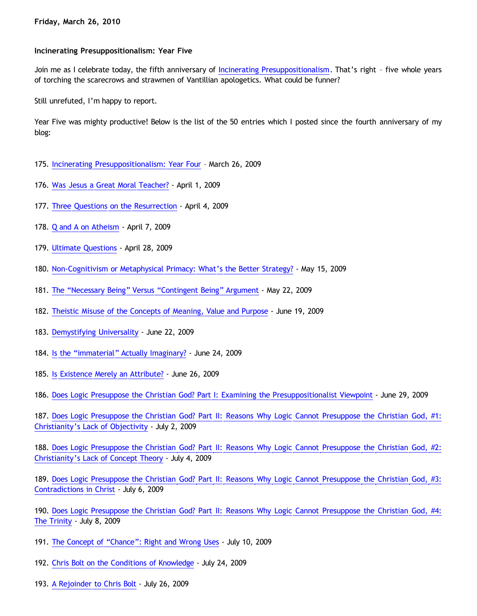## **Incinerating Presuppositionalism: Year Five**

Join me as I celebrate today, the fifth anniversary of [Incinerating Presuppositionalism.](http://bahnsenburner.blogspot.com/) That's right - five whole years of torching the scarecrows and strawmen of Vantillian apologetics. What could be funner?

Still unrefuted, I'm happy to report.

Year Five was mighty productive! Below is the list of the 50 entries which I posted since the fourth anniversary of my blog:

- 175. [Incinerating Presuppositionalism: Year Four](http://bahnsenburner.blogspot.com/2009/03/incinerating-presuppositionalism-year.html) March 26, 2009
- 176. [Was Jesus a Great Moral Teacher?](http://bahnsenburner.blogspot.com/2009/04/was-jesus-great-moral-teacher.html)  April 1, 2009
- 177. [Three Questions on the Resurrection](http://bahnsenburner.blogspot.com/2009/04/three-questions-on-resurrection.html) April 4, 2009
- 178. [Q and A on Atheism](http://bahnsenburner.blogspot.com/2009/04/q-and-on-atheism.html)  April 7, 2009
- 179. [Ultimate Questions](http://bahnsenburner.blogspot.com/2009/04/ultimate-questions.html)  April 28, 2009
- 180. [Non-Cognitivism or Metaphysical Primacy: What's the Better Strategy?](http://bahnsenburner.blogspot.com/2009/05/non-cognitivism-or-metaphysical-primacy.html) May 15, 2009
- 181. [The](http://bahnsenburner.blogspot.com/2009/05/necessary-being-vs-contingent-being.html) ["Necessary Being" Versus](http://bahnsenburner.blogspot.com/2009/05/necessary-being-vs-contingent-being.html) ["Contingent Being" Argument](http://bahnsenburner.blogspot.com/2009/05/necessary-being-vs-contingent-being.html) May 22, 2009
- 182. [Theistic Misuse of the Concepts of Meaning, Value and Purpose](http://bahnsenburner.blogspot.com/2009/06/theistic-misuse-of-concepts-of-meaning.html) June 19, 2009
- 183. [Demystifying Universality](http://bahnsenburner.blogspot.com/2009/06/demystifying-universality.html) June 22, 2009
- 184. [Is the](http://bahnsenburner.blogspot.com/2009/06/is-immaterial-actually-imaginary.html) ["immaterial" Actually Imaginary?](http://bahnsenburner.blogspot.com/2009/06/is-immaterial-actually-imaginary.html) June 24, 2009
- 185. [Is Existence Merely an Attribute?](http://bahnsenburner.blogspot.com/2009/06/is-existence-merely-attribute.html)  June 26, 2009
- 186. [Does Logic Presuppose the Christian God? Part I: Examining the Presuppositionalist Viewpoint](http://bahnsenburner.blogspot.com/2009/06/does-logic-presuppose-christian-god.html) June 29, 2009

187. [Does Logic Presuppose the Christian God? Part II: Reasons Why Logic Cannot Presuppose the Christian God, #1:](http://bahnsenburner.blogspot.com/2009/07/does-logic-presuppose-christian-god.html) [Christianity's Lack of Objectivity](http://bahnsenburner.blogspot.com/2009/07/does-logic-presuppose-christian-god.html) - July 2, 2009

188. [Does Logic Presuppose the Christian God? Part II: Reasons Why Logic Cannot Presuppose the Christian God, #2:](http://bahnsenburner.blogspot.com/2009/07/does-logic-presuppose-christian-god_04.html) [Christianity's Lack of Concept Theory](http://bahnsenburner.blogspot.com/2009/07/does-logic-presuppose-christian-god_04.html) - July 4, 2009

189. [Does Logic Presuppose the Christian God? Part II: Reasons Why Logic Cannot Presuppose the Christian God, #3:](http://bahnsenburner.blogspot.com/2009/07/does-logic-presuppose-christian-god_06.html) [Contradictions in Christ](http://bahnsenburner.blogspot.com/2009/07/does-logic-presuppose-christian-god_06.html) - July 6, 2009

190. [Does Logic Presuppose the Christian God? Part II: Reasons Why Logic Cannot Presuppose the Christian God, #4:](http://bahnsenburner.blogspot.com/2009/07/does-logic-presuppose-christian-god_08.html) [The Trinity](http://bahnsenburner.blogspot.com/2009/07/does-logic-presuppose-christian-god_08.html) - July 8, 2009

- 191. [The Concept of](http://bahnsenburner.blogspot.com/2009/07/concept-of-chance-right-and-wrong-uses.html) ["Chance": Right and Wrong Uses](http://bahnsenburner.blogspot.com/2009/07/concept-of-chance-right-and-wrong-uses.html) July 10, 2009
- 192. [Chris Bolt on the Conditions of Knowledge](http://bahnsenburner.blogspot.com/2009/07/chris-bolt-on-conditions-of-knowledge.html)  July 24, 2009
- 193. [A Rejoinder to Chris Bolt](http://bahnsenburner.blogspot.com/2009/07/rejoinder-to-chris-bolt.html)  July 26, 2009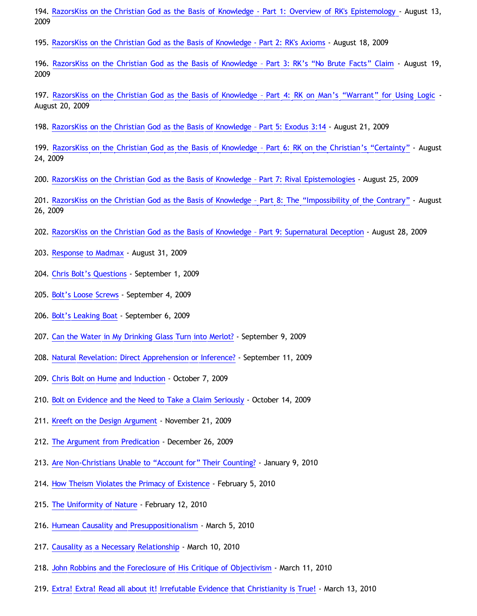194. [RazorsKiss on the Christian God as the Basis of Knowledge - Part 1: Overview of RK's Epistemology](http://bahnsenburner.blogspot.com/2009/08/razorskiss-on-christian-god-as-basis-of.html) - August 13, 2009

195. [RazorsKiss on the Christian God as the Basis of Knowledge - Part 2: RK's Axioms](http://bahnsenburner.blogspot.com/2009/08/razorskiss-on-christian-god-as-basis-of_18.html) - August 18, 2009

196. [RazorsKiss on the Christian God as the Basis of Knowledge](http://bahnsenburner.blogspot.com/2009/08/razorskiss-on-christian-god-as-basis-of_19.html) [– Part 3: RK's](http://bahnsenburner.blogspot.com/2009/08/razorskiss-on-christian-god-as-basis-of_19.html) ["No Brute Facts" Claim](http://bahnsenburner.blogspot.com/2009/08/razorskiss-on-christian-god-as-basis-of_19.html) - August 19, 2009

197. [RazorsKiss on the Christian God as the Basis of Knowledge](http://bahnsenburner.blogspot.com/2009/08/razorskiss-on-christian-god-as-basis-of_20.html) [– Part 4: RK on Man's](http://bahnsenburner.blogspot.com/2009/08/razorskiss-on-christian-god-as-basis-of_20.html) ["Warrant" for Using Logic](http://bahnsenburner.blogspot.com/2009/08/razorskiss-on-christian-god-as-basis-of_20.html) - August 20, 2009

198. [RazorsKiss on the Christian God as the Basis of Knowledge](http://bahnsenburner.blogspot.com/2009/08/razorskiss-on-christian-god-as-basis-of_21.html) [– Part 5: Exodus 3:14](http://bahnsenburner.blogspot.com/2009/08/razorskiss-on-christian-god-as-basis-of_21.html) - August 21, 2009

199. [RazorsKiss on the Christian God as the Basis of Knowledge](http://bahnsenburner.blogspot.com/2009/08/razorskiss-on-christian-god-as-basis-of_24.html) [– Part 6: RK on the Christian's](http://bahnsenburner.blogspot.com/2009/08/razorskiss-on-christian-god-as-basis-of_24.html) ["Certainty"](http://bahnsenburner.blogspot.com/2009/08/razorskiss-on-christian-god-as-basis-of_24.html) - August 24, 2009

200. [RazorsKiss on the Christian God as the Basis of Knowledge](http://bahnsenburner.blogspot.com/2009/08/razorskiss-on-christian-god-as-basis-of_25.html) [– Part 7: Rival Epistemologies](http://bahnsenburner.blogspot.com/2009/08/razorskiss-on-christian-god-as-basis-of_25.html) - August 25, 2009

201. [RazorsKiss on the Christian God as the Basis of Knowledge](http://bahnsenburner.blogspot.com/2009/08/razorskiss-on-christian-god-as-basis-of_26.html) [– Part 8: The](http://bahnsenburner.blogspot.com/2009/08/razorskiss-on-christian-god-as-basis-of_26.html) ["Impossibility of the Contrary"](http://bahnsenburner.blogspot.com/2009/08/razorskiss-on-christian-god-as-basis-of_26.html) - August 26, 2009

202. [RazorsKiss on the Christian God as the Basis of Knowledge](http://bahnsenburner.blogspot.com/2009/08/razorskiss-on-christian-god-as-basis-of_28.html) [– Part 9: Supernatural Deception](http://bahnsenburner.blogspot.com/2009/08/razorskiss-on-christian-god-as-basis-of_28.html) - August 28, 2009

- 203. [Response to Madmax](http://bahnsenburner.blogspot.com/2009/08/response-to-madmax.html)  August 31, 2009
- 204. [Chris Bolt's Questions](http://bahnsenburner.blogspot.com/2009/09/chris-bolts-questions.html)  September 1, 2009
- 205. [Bolt's Loose Screws](http://bahnsenburner.blogspot.com/2009/09/bolts-loose-screws.html) September 4, 2009
- 206. [Bolt's Leaking Boat](http://bahnsenburner.blogspot.com/2009/09/bolts-leaking-boat.html)  September 6, 2009
- 207. [Can the Water in My Drinking Glass Turn into Merlot?](http://bahnsenburner.blogspot.com/2009/09/can-water-in-my-drinking-glass-turn.html)  September 9, 2009
- 208. [Natural Revelation: Direct Apprehension or Inference?](http://bahnsenburner.blogspot.com/2009/09/natural-revelation-direct-apprehension.html) September 11, 2009
- 209. [Chris Bolt on Hume and Induction](http://bahnsenburner.blogspot.com/2009/10/chris-bolt-on-hume-and-induction.html) October 7, 2009
- 210. [Bolt on Evidence and the Need to Take a Claim Seriously](http://bahnsenburner.blogspot.com/2009/10/bolt-on-evidence-and-need-to-take-claim.html) October 14, 2009
- 211. [Kreeft on the Design Argument](http://bahnsenburner.blogspot.com/2009/11/kreeft-on-design-argument.html) November 21, 2009
- 212. [The Argument from Predication](http://bahnsenburner.blogspot.com/2009/12/argument-from-predication.html)  December 26, 2009
- 213. [Are Non-Christians Unable to](http://bahnsenburner.blogspot.com/2010/01/are-non-christians-unable-to-account.html) ["Account for" Their Counting?](http://bahnsenburner.blogspot.com/2010/01/are-non-christians-unable-to-account.html) January 9, 2010
- 214. [How Theism Violates the Primacy of Existence](http://bahnsenburner.blogspot.com/2010/02/how-theism-violates-primacy-of.html) February 5, 2010
- 215. [The Uniformity of Nature](http://bahnsenburner.blogspot.com/2010/02/uniformity-of-nature.html) February 12, 2010
- 216. [Humean Causality and Presuppositionalism](http://bahnsenburner.blogspot.com/2010/03/humean-causality-and.html) March 5, 2010
- 217. [Causality as a Necessary Relationship](http://bahnsenburner.blogspot.com/2010/03/causality-as-necessary-relationship.html) March 10, 2010
- 218. [John Robbins and the Foreclosure of His Critique of Objectivism](http://bahnsenburner.blogspot.com/2010/03/john-robbins-and-foreclosure-of-his.html)  March 11, 2010
- 219. [Extra! Extra! Read all about it! Irrefutable Evidence that Christianity is True!](http://bahnsenburner.blogspot.com/2010/03/extra-extra-read-all-about-it.html) March 13, 2010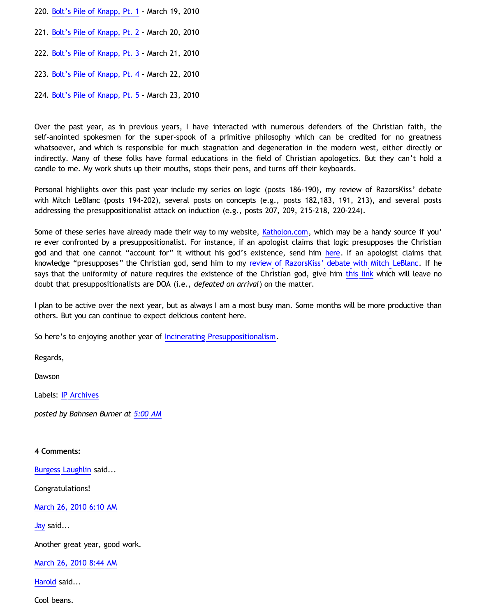- 220. [Bolt's Pile of Knapp, Pt. 1](http://bahnsenburner.blogspot.com/2010/03/bolts-pile-of-knapp-pt-1.html) March 19, 2010
- 221. [Bolt's Pile of Knapp, Pt. 2](http://bahnsenburner.blogspot.com/2010/03/bolts-pile-of-knapp-pt-2.html) March 20, 2010
- 222. [Bolt's Pile of Knapp, Pt. 3](http://bahnsenburner.blogspot.com/2010/03/bolts-pile-of-knapp-pt-3.html) March 21, 2010
- 223. [Bolt's Pile of Knapp, Pt. 4](http://bahnsenburner.blogspot.com/2010/03/bolts-pile-of-knapp-pt-4.html) March 22, 2010
- 224. [Bolt's Pile of Knapp, Pt. 5](http://bahnsenburner.blogspot.com/2010/03/bolts-pile-of-knapp-pt-5.html) March 23, 2010

Over the past year, as in previous years, I have interacted with numerous defenders of the Christian faith, the self-anointed spokesmen for the super-spook of a primitive philosophy which can be credited for no greatness whatsoever, and which is responsible for much stagnation and degeneration in the modern west, either directly or indirectly. Many of these folks have formal educations in the field of Christian apologetics. But they can't hold a candle to me. My work shuts up their mouths, stops their pens, and turns off their keyboards.

Personal highlights over this past year include my series on logic (posts 186-190), my review of RazorsKiss' debate with Mitch LeBlanc (posts 194-202), several posts on concepts (e.g., posts 182,183, 191, 213), and several posts addressing the presuppositionalist attack on induction (e.g., posts 207, 209, 215-218, 220-224).

Some of these series have already made their way to my website, [Katholon.com](http://www.katholon.com/), which may be a handy source if you' re ever confronted by a presuppositionalist. For instance, if an apologist claims that logic presupposes the Christian god and that one cannot "account for" it without his god's existence, send him [here](http://www.katholon.com/Logic.htm). If an apologist claims that knowledge "presupposes" the Christian god, send him to my [review of RazorsKiss' debate with Mitch LeBlanc.](http://katholon.com/RK.htm) If he says that the uniformity of nature requires the existence of the Christian god, give him [this link](http://katholon.com/Bolts-Pile-of-Knapp.htm) which will leave no doubt that presuppositionalists are DOA (i.e., *defeated on arrival*) on the matter.

I plan to be active over the next year, but as always I am a most busy man. Some months will be more productive than others. But you can continue to expect delicious content here.

So here's to enjoying another year of [Incinerating Presuppositionalism.](http://bahnsenburner.blogspot.com/)

Regards,

Dawson

Labels: [IP Archives](http://bahnsenburner.blogspot.com/search/label/IP%20Archives)

*posted by Bahnsen Burner at [5:00 AM](http://bahnsenburner.blogspot.com/2010/03/incinerating-presuppositionalism-year.html)*

## **4 Comments:**

[Burgess Laughlin](http://www.blogger.com/profile/13865479709475171678) said...

Congratulations!

[March 26, 2010 6:10 AM](http://bahnsenburner.blogspot.com/2010/03/3751053937457310243)

[Jay](http://www.blogger.com/profile/09604208085934821426) said...

Another great year, good work.

[March 26, 2010 8:44 AM](http://bahnsenburner.blogspot.com/2010/03/9223269101345285971)

[Harold](http://www.blogger.com/profile/10897769844874861468) said...

Cool beans.